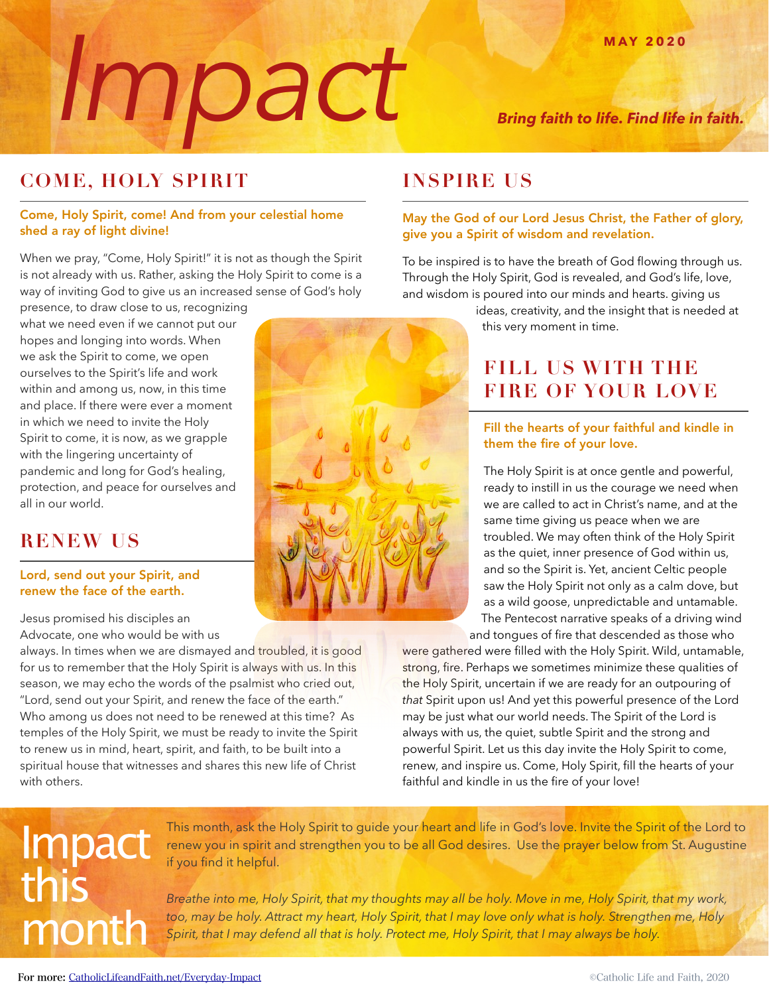# **Imax** <sup>MAY 2020</sup><br>*Bring faith to life. Find life in faith.*

### **COME, HOLY SPIRIT**

#### Come, Holy Spirit, come! And from your celestial home shed a ray of light divine!

When we pray, "Come, Holy Spirit!" it is not as though the Spirit is not already with us. Rather, asking the Holy Spirit to come is a way of inviting God to give us an increased sense of God's holy

presence, to draw close to us, recognizing what we need even if we cannot put our hopes and longing into words. When we ask the Spirit to come, we open ourselves to the Spirit's life and work within and among us, now, in this time and place. If there were ever a moment in which we need to invite the Holy Spirit to come, it is now, as we grapple with the lingering uncertainty of pandemic and long for God's healing, protection, and peace for ourselves and all in our world.

#### **RENEW US**

#### Lord, send out your Spirit, and renew the face of the earth.

Jesus promised his disciples an Advocate, one who would be with us

always. In times when we are dismayed and troubled, it is good for us to remember that the Holy Spirit is always with us. In this season, we may echo the words of the psalmist who cried out, "Lord, send out your Spirit, and renew the face of the earth." Who among us does not need to be renewed at this time? As temples of the Holy Spirit, we must be ready to invite the Spirit to renew us in mind, heart, spirit, and faith, to be built into a spiritual house that witnesses and shares this new life of Christ with others.



#### **INSPIRE US**

#### May the God of our Lord Jesus Christ, the Father of glory, give you a Spirit of wisdom and revelation.

To be inspired is to have the breath of God flowing through us. Through the Holy Spirit, God is revealed, and God's life, love, and wisdom is poured into our minds and hearts. giving us

> ideas, creativity, and the insight that is needed at this very moment in time.

#### **FILL US WITH THE FIRE OF YOUR LOVE**

#### Fill the hearts of your faithful and kindle in them the fire of your love.

The Holy Spirit is at once gentle and powerful, ready to instill in us the courage we need when we are called to act in Christ's name, and at the same time giving us peace when we are troubled. We may often think of the Holy Spirit as the quiet, inner presence of God within us, and so the Spirit is. Yet, ancient Celtic people saw the Holy Spirit not only as a calm dove, but as a wild goose, unpredictable and untamable. The Pentecost narrative speaks of a driving wind and tongues of fire that descended as those who

were gathered were filled with the Holy Spirit. Wild, untamable, strong, fire. Perhaps we sometimes minimize these qualities of the Holy Spirit, uncertain if we are ready for an outpouring of *that* Spirit upon us! And yet this powerful presence of the Lord may be just what our world needs. The Spirit of the Lord is always with us, the quiet, subtle Spirit and the strong and powerful Spirit. Let us this day invite the Holy Spirit to come, renew, and inspire us. Come, Holy Spirit, fill the hearts of your faithful and kindle in us the fire of your love!

## Impact this month

This month, ask the Holy Spirit to guide your heart and life in God's love. Invite the Spirit of the Lord to renew you in spirit and strengthen you to be all God desires. Use the prayer below from St. Augustine if you find it helpful.

*Breathe into me, Holy Spirit, that my thoughts may all be holy. Move in me, Holy Spirit, that my work,*  too, may be holy. Attract my heart, Holy Spirit, that I may love only what is holy. Strengthen me, Holy *Spirit, that I may defend all that is holy. Protect me, Holy Spirit, that I may always be holy.*